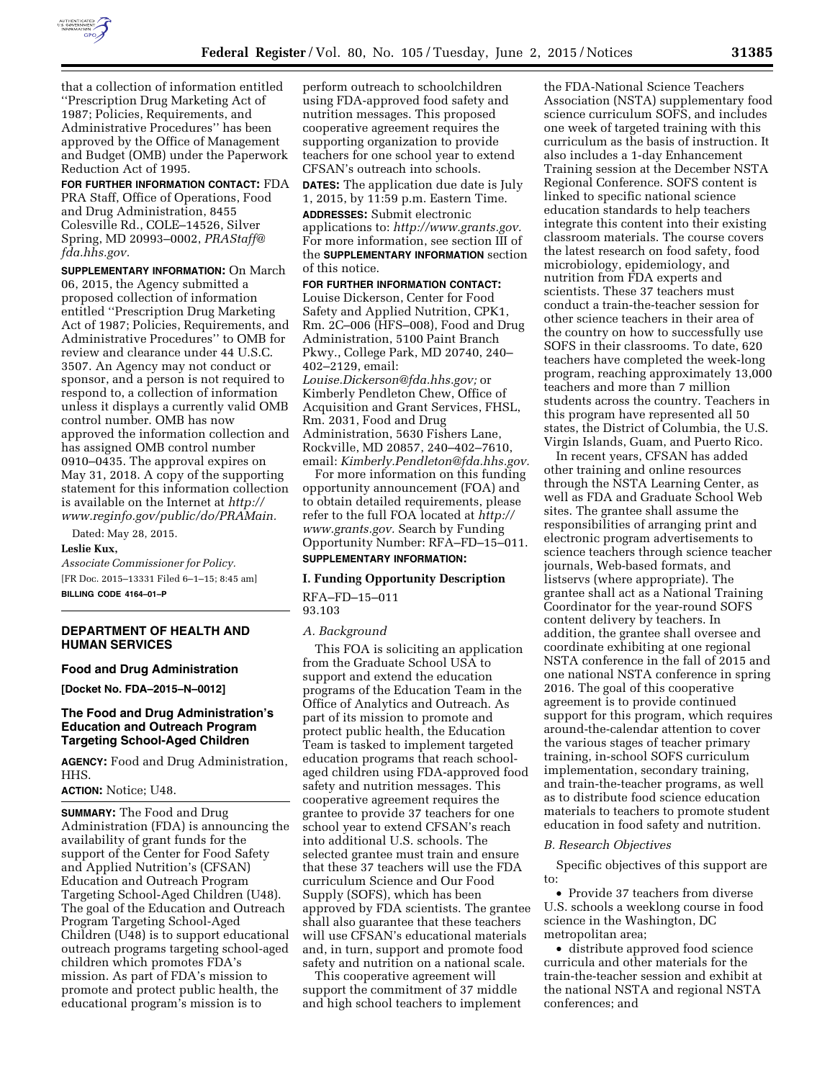

that a collection of information entitled ''Prescription Drug Marketing Act of 1987; Policies, Requirements, and Administrative Procedures'' has been approved by the Office of Management and Budget (OMB) under the Paperwork Reduction Act of 1995.

**FOR FURTHER INFORMATION CONTACT:** FDA PRA Staff, Office of Operations, Food and Drug Administration, 8455 Colesville Rd., COLE–14526, Silver Spring, MD 20993–0002, *[PRAStaff@](mailto:PRAStaff@fda.hhs.gov) [fda.hhs.gov.](mailto:PRAStaff@fda.hhs.gov)* 

**SUPPLEMENTARY INFORMATION:** On March 06, 2015, the Agency submitted a proposed collection of information entitled ''Prescription Drug Marketing Act of 1987; Policies, Requirements, and Administrative Procedures'' to OMB for review and clearance under 44 U.S.C. 3507. An Agency may not conduct or sponsor, and a person is not required to respond to, a collection of information unless it displays a currently valid OMB control number. OMB has now approved the information collection and has assigned OMB control number 0910–0435. The approval expires on May 31, 2018. A copy of the supporting statement for this information collection is available on the Internet at *[http://](http://www.reginfo.gov/public/do/PRAMain) [www.reginfo.gov/public/do/PRAMain.](http://www.reginfo.gov/public/do/PRAMain)* 

Dated: May 28, 2015.

#### **Leslie Kux,**

*Associate Commissioner for Policy.*  [FR Doc. 2015–13331 Filed 6–1–15; 8:45 am] **BILLING CODE 4164–01–P** 

## **DEPARTMENT OF HEALTH AND HUMAN SERVICES**

# **Food and Drug Administration**

**[Docket No. FDA–2015–N–0012]** 

## **The Food and Drug Administration's Education and Outreach Program Targeting School-Aged Children**

**AGENCY:** Food and Drug Administration, HHS.

#### **ACTION:** Notice; U48.

**SUMMARY:** The Food and Drug Administration (FDA) is announcing the availability of grant funds for the support of the Center for Food Safety and Applied Nutrition's (CFSAN) Education and Outreach Program Targeting School-Aged Children (U48). The goal of the Education and Outreach Program Targeting School-Aged Children (U48) is to support educational outreach programs targeting school-aged children which promotes FDA's mission. As part of FDA's mission to promote and protect public health, the educational program's mission is to

perform outreach to schoolchildren using FDA-approved food safety and nutrition messages. This proposed cooperative agreement requires the supporting organization to provide teachers for one school year to extend CFSAN's outreach into schools.

**DATES:** The application due date is July 1, 2015, by 11:59 p.m. Eastern Time.

**ADDRESSES:** Submit electronic applications to: *[http://www.grants.gov.](http://www.grants.gov)*  For more information, see section III of the **SUPPLEMENTARY INFORMATION** section of this notice.

**FOR FURTHER INFORMATION CONTACT:**  Louise Dickerson, Center for Food Safety and Applied Nutrition, CPK1, Rm. 2C–006 (HFS–008), Food and Drug Administration, 5100 Paint Branch Pkwy., College Park, MD 20740, 240– 402–2129, email: *[Louise.Dickerson@fda.hhs.gov;](mailto:Louise.Dickerson@fda.hhs.gov)* or Kimberly Pendleton Chew, Office of

Acquisition and Grant Services, FHSL, Rm. 2031, Food and Drug Administration, 5630 Fishers Lane, Rockville, MD 20857, 240–402–7610, email: *[Kimberly.Pendleton@fda.hhs.gov.](mailto:Kimberly.Pendleton@fda.hhs.gov)* 

For more information on this funding opportunity announcement (FOA) and to obtain detailed requirements, please refer to the full FOA located at *[http://](http://www.grants.gov) [www.grants.gov.](http://www.grants.gov)* Search by Funding Opportunity Number: RFA–FD–15–011.

### **SUPPLEMENTARY INFORMATION:**

#### **I. Funding Opportunity Description**

RFA–FD–15–011 93.103

## *A. Background*

This FOA is soliciting an application from the Graduate School USA to support and extend the education programs of the Education Team in the Office of Analytics and Outreach. As part of its mission to promote and protect public health, the Education Team is tasked to implement targeted education programs that reach schoolaged children using FDA-approved food safety and nutrition messages. This cooperative agreement requires the grantee to provide 37 teachers for one school year to extend CFSAN's reach into additional U.S. schools. The selected grantee must train and ensure that these 37 teachers will use the FDA curriculum Science and Our Food Supply (SOFS), which has been approved by FDA scientists. The grantee shall also guarantee that these teachers will use CFSAN's educational materials and, in turn, support and promote food safety and nutrition on a national scale.

This cooperative agreement will support the commitment of 37 middle and high school teachers to implement

the FDA-National Science Teachers Association (NSTA) supplementary food science curriculum SOFS, and includes one week of targeted training with this curriculum as the basis of instruction. It also includes a 1-day Enhancement Training session at the December NSTA Regional Conference. SOFS content is linked to specific national science education standards to help teachers integrate this content into their existing classroom materials. The course covers the latest research on food safety, food microbiology, epidemiology, and nutrition from FDA experts and scientists. These 37 teachers must conduct a train-the-teacher session for other science teachers in their area of the country on how to successfully use SOFS in their classrooms. To date, 620 teachers have completed the week-long program, reaching approximately 13,000 teachers and more than 7 million students across the country. Teachers in this program have represented all 50 states, the District of Columbia, the U.S. Virgin Islands, Guam, and Puerto Rico.

In recent years, CFSAN has added other training and online resources through the NSTA Learning Center, as well as FDA and Graduate School Web sites. The grantee shall assume the responsibilities of arranging print and electronic program advertisements to science teachers through science teacher journals, Web-based formats, and listservs (where appropriate). The grantee shall act as a National Training Coordinator for the year-round SOFS content delivery by teachers. In addition, the grantee shall oversee and coordinate exhibiting at one regional NSTA conference in the fall of 2015 and one national NSTA conference in spring 2016. The goal of this cooperative agreement is to provide continued support for this program, which requires around-the-calendar attention to cover the various stages of teacher primary training, in-school SOFS curriculum implementation, secondary training, and train-the-teacher programs, as well as to distribute food science education materials to teachers to promote student education in food safety and nutrition.

#### *B. Research Objectives*

Specific objectives of this support are to:

• Provide 37 teachers from diverse U.S. schools a weeklong course in food science in the Washington, DC metropolitan area;

• distribute approved food science curricula and other materials for the train-the-teacher session and exhibit at the national NSTA and regional NSTA conferences; and